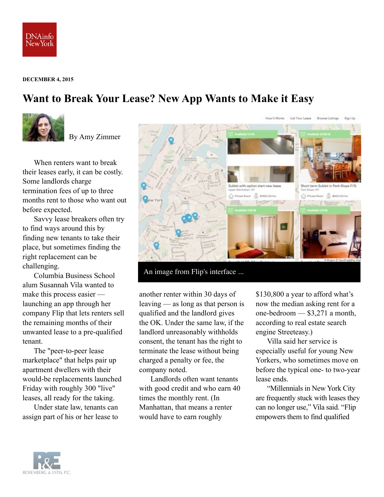

## **DECEMBER 4, 2015**

## **Want to Break Your Lease? New App Wants to Make it Easy**



By Amy Zimmer

When renters want to break their leases early, it can be costly. Some landlords charge termination fees of up to three months rent to those who want out before expected.

Savvy lease breakers often try to find ways around this by finding new tenants to take their place, but sometimes finding the right replacement can be challenging.

Columbia Business School alum Susannah Vila wanted to make this process easier launching an app through her company Flip that lets renters sell the remaining months of their unwanted lease to a pre-qualified tenant.

The "peer-to-peer lease marketplace" that helps pair up apartment dwellers with their would-be replacements launched Friday with roughly 300 "live" leases, all ready for the taking.

Under state law, tenants can assign part of his or her lease to



another renter within 30 days of leaving — as long as that person is qualified and the landlord gives the OK. Under the same law, if the landlord unreasonably withholds consent, the tenant has the right to terminate the lease without being charged a penalty or fee, the company noted.

Landlords often want tenants with good credit and who earn 40 times the monthly rent. (In Manhattan, that means a renter would have to earn roughly

\$130,800 a year to afford what's now the median asking rent for a one-bedroom — \$3,271 a month, according to real estate search engine Streeteasy.)

Villa said her service is especially useful for young New Yorkers, who sometimes move on before the typical one- to two-year lease ends.

"Millennials in New York City are frequently stuck with leases they can no longer use," Vila said. "Flip empowers them to find qualified